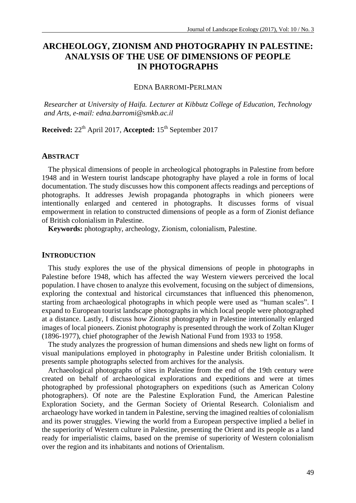# **ARCHEOLOGY, ZIONISM AND PHOTOGRAPHY IN PALESTINE: ANALYSIS OF THE USE OF DIMENSIONS OF PEOPLE IN PHOTOGRAPHS**

EDNA BARROMI-PERLMAN

*Researcher at University of Haifa. Lecturer at Kibbutz College of Education, Technology and Arts, e-mail: edna.barromi@smkb.ac.il*

**Received:**  $22^{th}$  April 2017, **Accepted:**  $15^{th}$  September 2017

#### **ABSTRACT**

The physical dimensions of people in archeological photographs in Palestine from before 1948 and in Western tourist landscape photography have played a role in forms of local documentation. The study discusses how this component affects readings and perceptions of photographs. It addresses Jewish propaganda photographs in which pioneers were intentionally enlarged and centered in photographs. It discusses forms of visual empowerment in relation to constructed dimensions of people as a form of Zionist defiance of British colonialism in Palestine.

**Keywords:** photography, archeology, Zionism, colonialism, Palestine.

#### **INTRODUCTION**

This study explores the use of the physical dimensions of people in photographs in Palestine before 1948, which has affected the way Western viewers perceived the local population. I have chosen to analyze this evolvement, focusing on the subject of dimensions, exploring the contextual and historical circumstances that influenced this phenomenon, starting from archaeological photographs in which people were used as "human scales". I expand to European tourist landscape photographs in which local people were photographed at a distance. Lastly, I discuss how Zionist photography in Palestine intentionally enlarged images of local pioneers. Zionist photography is presented through the work of Zoltan Kluger (1896-1977), chief photographer of the Jewish National Fund from 1933 to 1958.

The study analyzes the progression of human dimensions and sheds new light on forms of visual manipulations employed in photography in Palestine under British colonialism. It presents sample photographs selected from archives for the analysis.

Archaeological photographs of sites in Palestine from the end of the 19th century were created on behalf of archaeological explorations and expeditions and were at times photographed by professional photographers on expeditions (such as American Colony photographers). Of note are the Palestine Exploration Fund, the American Palestine Exploration Society, and the German Society of Oriental Research. Colonialism and archaeology have worked in tandem in Palestine, serving the imagined realties of colonialism and its power struggles. Viewing the world from a European perspective implied a belief in the superiority of Western culture in Palestine, presenting the Orient and its people as a land ready for imperialistic claims, based on the premise of superiority of Western colonialism over the region and its inhabitants and notions of Orientalism.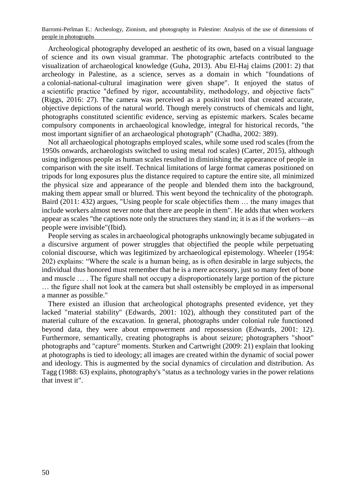Archeological photography developed an aesthetic of its own, based on a visual language of science and its own visual grammar. The photographic artefacts contributed to the visualization of archaeological knowledge (Guha, 2013). Abu El-Haj claims (2001: 2) that archeology in Palestine, as a science, serves as a domain in which "foundations of a colonial-national-cultural imagination were given shape". It enjoyed the status of a scientific practice "defined by rigor, accountability, methodology, and objective facts" (Riggs, 2016: 27). The camera was perceived as a positivist tool that created accurate, objective depictions of the natural world. Though merely constructs of chemicals and light, photographs constituted scientific evidence, serving as epistemic markers. Scales became compulsory components in archaeological knowledge, integral for historical records, "the most important signifier of an archaeological photograph" (Chadha, 2002: 389).

Not all archaeological photographs employed scales, while some used rod scales (from the 1950s onwards, archaeologists switched to using metal rod scales) (Carter, 2015), although using indigenous people as human scales resulted in diminishing the appearance of people in comparison with the site itself. Technical limitations of large format cameras positioned on tripods for long exposures plus the distance required to capture the entire site, all minimized the physical size and appearance of the people and blended them into the background, making them appear small or blurred. This went beyond the technicality of the photograph. Baird (2011: 432) argues, "Using people for scale objectifies them … the many images that include workers almost never note that there are people in them". He adds that when workers appear as scales "the captions note only the structures they stand in; it is as if the workers—as people were invisible"(Ibid).

People serving as scales in archaeological photographs unknowingly became subjugated in a discursive argument of power struggles that objectified the people while perpetuating colonial discourse, which was legitimized by archaeological epistemology. Wheeler (1954: 202) explains: "Where the scale is a human being, as is often desirable in large subjects, the individual thus honored must remember that he is a mere accessory, just so many feet of bone and muscle … . The figure shall not occupy a disproportionately large portion of the picture … the figure shall not look at the camera but shall ostensibly be employed in as impersonal a manner as possible."

There existed an illusion that archeological photographs presented evidence, yet they lacked "material stability" (Edwards, 2001: 102), although they constituted part of the material culture of the excavation. In general, photographs under colonial rule functioned beyond data, they were about empowerment and repossession (Edwards, 2001: 12). Furthermore, semantically, creating photographs is about seizure; photographers "shoot" photographs and "capture" moments. Sturken and Cartwright (2009: 21) explain that looking at photographs is tied to ideology; all images are created within the dynamic of social power and ideology. This is augmented by the social dynamics of circulation and distribution. As Tagg (1988: 63) explains, photography's "status as a technology varies in the power relations that invest it".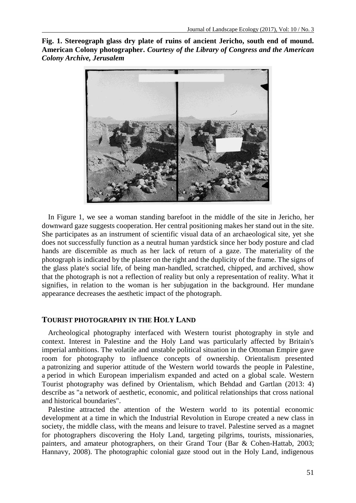**Fig. 1. Stereograph glass dry plate of ruins of ancient Jericho, south end of mound. American Colony photographer.** *Courtesy of the Library of Congress and the American Colony Archive, Jerusalem*



In Figure 1, we see a woman standing barefoot in the middle of the site in Jericho, her downward gaze suggests cooperation. Her central positioning makes her stand out in the site. She participates as an instrument of scientific visual data of an archaeological site, yet she does not successfully function as a neutral human yardstick since her body posture and clad hands are discernible as much as her lack of return of a gaze. The materiality of the photograph is indicated by the plaster on the right and the duplicity of the frame. The signs of the glass plate's social life, of being man-handled, scratched, chipped, and archived, show that the photograph is not a reflection of reality but only a representation of reality. What it signifies, in relation to the woman is her subjugation in the background. Her mundane appearance decreases the aesthetic impact of the photograph.

#### **TOURIST PHOTOGRAPHY IN THE HOLY LAND**

Archeological photography interfaced with Western tourist photography in style and context. Interest in Palestine and the Holy Land was particularly affected by Britain's imperial ambitions. The volatile and unstable political situation in the Ottoman Empire gave room for photography to influence concepts of ownership. Orientalism presented a patronizing and superior attitude of the Western world towards the people in Palestine, a period in which European imperialism expanded and acted on a global scale. Western Tourist photography was defined by Orientalism, which Behdad and Gartlan (2013: 4) describe as "a network of aesthetic, economic, and political relationships that cross national and historical boundaries".

Palestine attracted the attention of the Western world to its potential economic development at a time in which the Industrial Revolution in Europe created a new class in society, the middle class, with the means and leisure to travel. Palestine served as a magnet for photographers discovering the Holy Land, targeting pilgrims, tourists, missionaries, painters, and amateur photographers, on their Grand Tour (Bar & Cohen-Hattab, 2003; Hannavy, 2008). The photographic colonial gaze stood out in the Holy Land, indigenous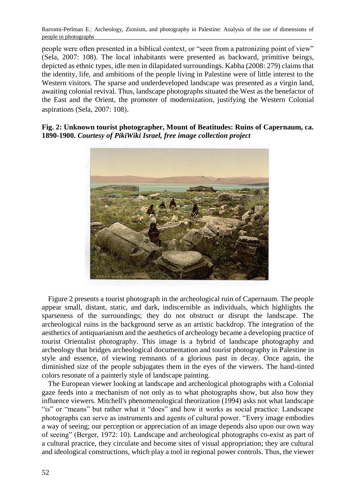people were often presented in a biblical context, or "seen from a patronizing point of view" (Sela, 2007: 108). The local inhabitants were presented as backward, primitive beings, depicted as ethnic types, idle men in dilapidated surroundings. Kabha (2008: 279) claims that the identity, life, and ambitions of the people living in Palestine were of little interest to the Western visitors. The sparse and underdeveloped landscape was presented as a virgin land, awaiting colonial revival. Thus, landscape photographs situated the West as the benefactor of the East and the Orient, the promoter of modernization, justifying the Western Colonial aspirations (Sela, 2007: 108).

**Fig. 2: Unknown tourist photographer, Mount of Beatitudes: Ruins of Capernaum, ca. 1890-1900.** *Courtesy of PikiWiki Israel, free image collection project*



Figure 2 presents a tourist photograph in the archeological ruin of Capernaum. The people appear small, distant, static, and dark, indiscernible as individuals, which highlights the sparseness of the surroundings; they do not obstruct or disrupt the landscape. The archeological ruins in the background serve as an artistic backdrop. The integration of the aesthetics of antiquarianism and the aesthetics of archeology became a developing practice of tourist Orientalist photography. This image is a hybrid of landscape photography and archeology that bridges archeological documentation and tourist photography in Palestine in style and essence, of viewing remnants of a glorious past in decay. Once again, the diminished size of the people subjugates them in the eyes of the viewers. The hand-tinted colors resonate of a painterly style of landscape painting.

The European viewer looking at landscape and archeological photographs with a Colonial gaze feeds into a mechanism of not only as to what photographs show, but also how they influence viewers. Mitchell's phenomenological theorization (1994) asks not what landscape "is" or "means" but rather what it "does" and how it works as social practice. Landscape photographs can serve as instruments and agents of cultural power. "Every image embodies a way of seeing; our perception or appreciation of an image depends also upon our own way of seeing" (Berger, 1972: 10). Landscape and archeological photographs co-exist as part of a cultural practice, they circulate and become sites of visual appropriation; they are cultural and ideological constructions, which play a tool in regional power controls. Thus, the viewer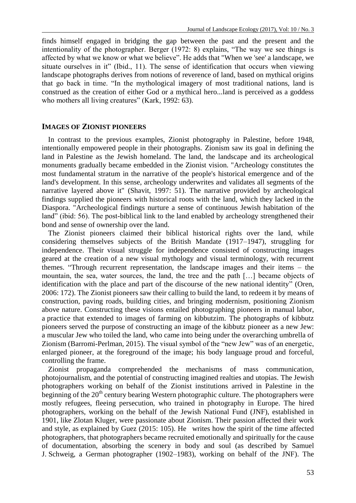finds himself engaged in bridging the gap between the past and the present and the intentionality of the photographer. Berger (1972: 8) explains, "The way we see things is affected by what we know or what we believe". He adds that "When we 'see' a landscape, we situate ourselves in it" (Ibid., 11). The sense of identification that occurs when viewing landscape photographs derives from notions of reverence of land, based on mythical origins that go back in time. "In the mythological imagery of most traditional nations, land is construed as the creation of either God or a mythical hero...land is perceived as a goddess who mothers all living creatures" (Kark, 1992: 63).

#### **IMAGES OF ZIONIST PIONEERS**

In contrast to the previous examples, Zionist photography in Palestine, before 1948, intentionally empowered people in their photographs. Zionism saw its goal in defining the land in Palestine as the Jewish homeland. The land, the landscape and its archeological monuments gradually became embedded in the Zionist vision. "Archeology constitutes the most fundamental stratum in the narrative of the people's historical emergence and of the land's development. In this sense, archeology underwrites and validates all segments of the narrative layered above it" (Shavit, 1997: 51). The narrative provided by archeological findings supplied the pioneers with historical roots with the land, which they lacked in the Diaspora. "Archeological findings nurture a sense of continuous Jewish habitation of the land" (ibid: 56). The post-biblical link to the land enabled by archeology strengthened their bond and sense of ownership over the land.

The Zionist pioneers claimed their biblical historical rights over the land, while considering themselves subjects of the British Mandate (1917–1947), struggling for independence. Their visual struggle for independence consisted of constructing images geared at the creation of a new visual mythology and visual terminology, with recurrent themes. "Through recurrent representation, the landscape images and their items – the mountain, the sea, water sources, the land, the tree and the path […] became objects of identification with the place and part of the discourse of the new national identity" (Oren, 2006: 172). The Zionist pioneers saw their calling to build the land, to redeem it by means of construction, paving roads, building cities, and bringing modernism, positioning Zionism above nature. Constructing these visions entailed photographing pioneers in manual labor, a practice that extended to images of farming on kibbutzim. The photographs of kibbutz pioneers served the purpose of constructing an image of the kibbutz pioneer as a new Jew: a muscular Jew who toiled the land, who came into being under the overarching umbrella of Zionism (Barromi-Perlman, 2015). The visual symbol of the "new Jew" was of an energetic, enlarged pioneer, at the foreground of the image; his body language proud and forceful, controlling the frame.

Zionist propaganda comprehended the mechanisms of mass communication, photojournalism, and the potential of constructing imagined realties and utopias. The Jewish photographers working on behalf of the Zionist institutions arrived in Palestine in the beginning of the  $20<sup>th</sup>$  century bearing Western photographic culture. The photographers were mostly refugees, fleeing persecution, who trained in photography in Europe. The hired photographers, working on the behalf of the Jewish National Fund (JNF), established in 1901, like Zlotan Kluger, were passionate about Zionism. Their passion affected their work and style, as explained by Guez (2015: 105). He writes how the spirit of the time affected photographers, that photographers became recruited emotionally and spiritually for the cause of documentation, absorbing the scenery in body and soul (as described by Samuel J. Schweig, a German photographer (1902–1983), working on behalf of the JNF). The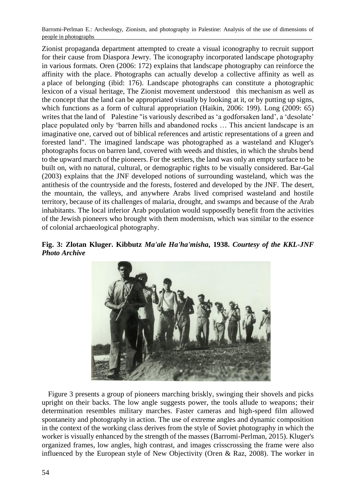Zionist propaganda department attempted to create a visual iconography to recruit support for their cause from Diaspora Jewry. The iconography incorporated landscape photography in various formats. Oren (2006: 172) explains that landscape photography can reinforce the affinity with the place. Photographs can actually develop a collective affinity as well as a place of belonging (ibid: 176). Landscape photographs can constitute a photographic lexicon of a visual heritage, The Zionist movement understood this mechanism as well as the concept that the land can be appropriated visually by looking at it, or by putting up signs, which functions as a form of cultural appropriation (Haikin, 2006: 199). Long (2009: 65) writes that the land of Palestine "is variously described as 'a godforsaken land', a 'desolate' place populated only by 'barren hills and abandoned rocks … This ancient landscape is an imaginative one, carved out of biblical references and artistic representations of a green and forested land". The imagined landscape was photographed as a wasteland and Kluger's photographs focus on barren land, covered with weeds and thistles, in which the shrubs bend to the upward march of the pioneers. For the settlers, the land was only an empty surface to be built on, with no natural, cultural, or demographic rights to be visually considered. Bar-Gal (2003) explains that the JNF developed notions of surrounding wasteland, which was the antithesis of the countryside and the forests, fostered and developed by the JNF. The desert, the mountain, the valleys, and anywhere Arabs lived comprised wasteland and hostile territory, because of its challenges of malaria, drought, and swamps and because of the Arab inhabitants. The local inferior Arab population would supposedly benefit from the activities of the Jewish pioneers who brought with them modernism, which was similar to the essence of colonial archaeological photography.





Figure 3 presents a group of pioneers marching briskly, swinging their shovels and picks upright on their backs. The low angle suggests power, the tools allude to weapons; their determination resembles military marches. Faster cameras and high-speed film allowed spontaneity and photography in action. The use of extreme angles and dynamic composition in the context of the working class derives from the style of Soviet photography in which the worker is visually enhanced by the strength of the masses (Barromi-Perlman, 2015). Kluger's organized frames, low angles, high contrast, and images crisscrossing the frame were also influenced by the European style of New Objectivity (Oren & Raz, 2008). The worker in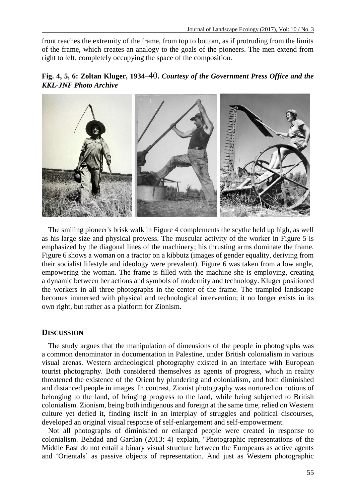front reaches the extremity of the frame, from top to bottom, as if protruding from the limits of the frame, which creates an analogy to the goals of the pioneers. The men extend from right to left, completely occupying the space of the composition.





The smiling pioneer's brisk walk in Figure 4 complements the scythe held up high, as well as his large size and physical prowess. The muscular activity of the worker in Figure 5 is emphasized by the diagonal lines of the machinery; his thrusting arms dominate the frame. Figure 6 shows a woman on a tractor on a kibbutz (images of gender equality, deriving from their socialist lifestyle and ideology were prevalent). Figure 6 was taken from a low angle, empowering the woman. The frame is filled with the machine she is employing, creating a dynamic between her actions and symbols of modernity and technology. Kluger positioned the workers in all three photographs in the center of the frame. The trampled landscape becomes immersed with physical and technological intervention; it no longer exists in its own right, but rather as a platform for Zionism.

### **DISCUSSION**

The study argues that the manipulation of dimensions of the people in photographs was a common denominator in documentation in Palestine, under British colonialism in various visual arenas. Western archeological photography existed in an interface with European tourist photography. Both considered themselves as agents of progress, which in reality threatened the existence of the Orient by plundering and colonialism, and both diminished and distanced people in images. In contrast, Zionist photography was nurtured on notions of belonging to the land, of bringing progress to the land, while being subjected to British colonialism. Zionism, being both indigenous and foreign at the same time, relied on Western culture yet defied it, finding itself in an interplay of struggles and political discourses, developed an original visual response of self-enlargement and self-empowerment.

Not all photographs of diminished or enlarged people were created in response to colonialism. Behdad and Gartlan (2013: 4) explain, "Photographic representations of the Middle East do not entail a binary visual structure between the Europeans as active agents and 'Orientals' as passive objects of representation. And just as Western photographic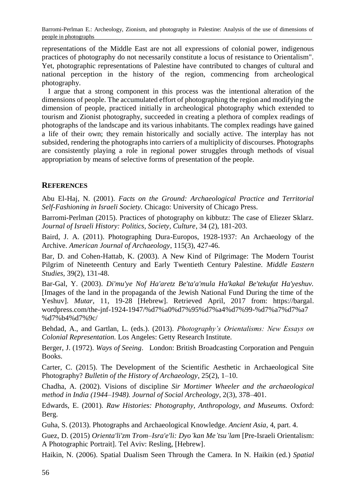representations of the Middle East are not all expressions of colonial power, indigenous practices of photography do not necessarily constitute a locus of resistance to Orientalism". Yet, photographic representations of Palestine have contributed to changes of cultural and national perception in the history of the region, commencing from archeological photography.

I argue that a strong component in this process was the intentional alteration of the dimensions of people. The accumulated effort of photographing the region and modifying the dimension of people, practiced initially in archeological photography which extended to tourism and Zionist photography, succeeded in creating a plethora of complex readings of photographs of the landscape and its various inhabitants. The complex readings have gained a life of their own; they remain historically and socially active. The interplay has not subsided, rendering the photographs into carriers of a multiplicity of discourses. Photographs are consistently playing a role in regional power struggles through methods of visual appropriation by means of selective forms of presentation of the people.

## **REFERENCES**

Abu El-Haj, N. (2001). *Facts on the Ground: Archaeological Practice and Territorial Self-Fashioning in Israeli Society.* Chicago: University of Chicago Press*.*

Barromi-Perlman (2015). Practices of photography on kibbutz: The case of Eliezer Sklarz. *Journal of Israeli History: Politics, Society, Culture*, 34 (2), 181-203.

Baird, J. A. (2011). Photographing Dura-Europos, 1928-1937: An Archaeology of the Archive. *American Journal of Archaeology*, 115(3), 427-46.

Bar, D. and Cohen-Hattab, K. (2003). A New Kind of Pilgrimage: The Modern Tourist Pilgrim of Nineteenth Century and Early Twentieth Century Palestine. *Middle Eastern Studies,* 39(2), 131-48.

Bar-Gal, Y. (2003). *Di'mu'ye Nof Ha'aretz Be'ta'a'mula Ha'kakal Be'tekufat Ha'yeshuv.* [Images of the land in the propaganda of the Jewish National Fund During the time of the Yeshuv]. *Mutar*, 11, 19-28 [Hebrew]. Retrieved April, 2017 from: https://bargal. wordpress.com/the-jnf-1924-1947/%d7%a0%d7%95%d7%a4%d7%99-%d7%a7%d7%a7 %d7%b4%d7%9c/

Behdad, A., and Gartlan, L. (eds.). (2013). *Photography's Orientalisms: New Essays on Colonial Representation.* Los Angeles: Getty Research Institute*.*

Berger, J. (1972). *Ways of Seeing*. London: British Broadcasting Corporation and Penguin Books.

Carter, C. (2015). The Development of the Scientific Aesthetic in Archaeological Site Photography? *Bulletin of the History of Archaeology*, 25(2), 1–10.

Chadha, A. (2002). Visions of discipline *Sir Mortimer Wheeler and the archaeological method in India (1944–1948). Journal of Social Archeology*, 2(3), 378–401.

Edwards, E. (2001). *Raw Histories: Photography, Anthropology, and Museums.* Oxford: Berg.

Guha, S. (2013). Photographs and Archaeological Knowledge. *Ancient Asia*, 4, part. 4.

Guez, D. (2015) *Orienta'li'zm Trom–Isra'e'li: Dyo'kan Me'tsu'lam* [Pre-Israeli Orientalism: A Photographic Portrait]. Tel Aviv: Resling, [Hebrew].

Haikin, N. (2006). Spatial Dualism Seen Through the Camera. In N. Haikin (ed.) *Spatial*